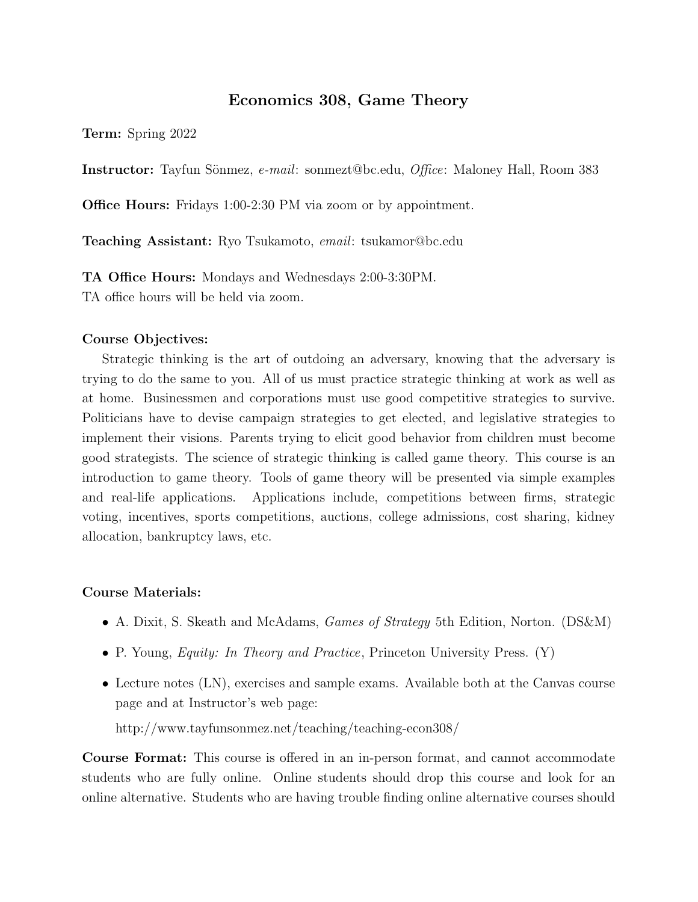# Economics 308, Game Theory

Term: Spring 2022

**Instructor:** Tayfun Sönmez, e-mail: sonmezt@bc.edu, *Office*: Maloney Hall, Room 383

**Office Hours:** Fridays 1:00-2:30 PM via zoom or by appointment.

**Teaching Assistant:** Ryo Tsukamoto, *email*: tsukamor@bc.edu

TA Office Hours: Mondays and Wednesdays 2:00-3:30PM. TA office hours will be held via zoom.

## Course Objectives:

Strategic thinking is the art of outdoing an adversary, knowing that the adversary is trying to do the same to you. All of us must practice strategic thinking at work as well as at home. Businessmen and corporations must use good competitive strategies to survive. Politicians have to devise campaign strategies to get elected, and legislative strategies to implement their visions. Parents trying to elicit good behavior from children must become good strategists. The science of strategic thinking is called game theory. This course is an introduction to game theory. Tools of game theory will be presented via simple examples and real-life applications. Applications include, competitions between firms, strategic voting, incentives, sports competitions, auctions, college admissions, cost sharing, kidney allocation, bankruptcy laws, etc.

## Course Materials:

- A. Dixit, S. Skeath and McAdams, *Games of Strategy* 5th Edition, Norton. (DS&M)
- P. Young, *Equity: In Theory and Practice*, Princeton University Press. (Y)
- Lecture notes (LN), exercises and sample exams. Available both at the Canvas course page and at Instructor's web page:

http://www.tayfunsonmez.net/teaching/teaching-econ308/

Course Format: This course is offered in an in-person format, and cannot accommodate students who are fully online. Online students should drop this course and look for an online alternative. Students who are having trouble finding online alternative courses should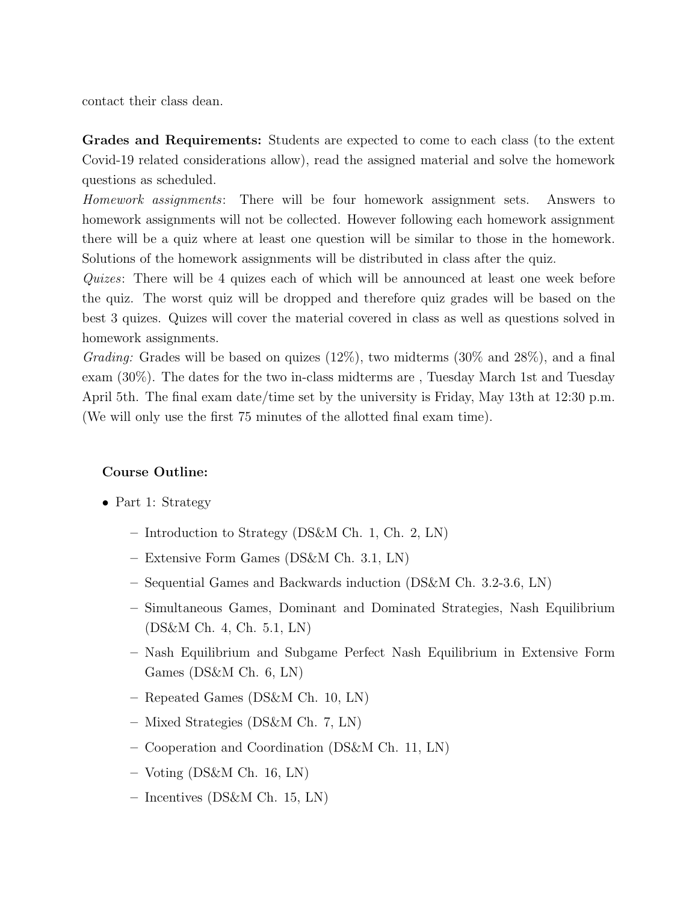contact their class dean.

Grades and Requirements: Students are expected to come to each class (to the extent Covid-19 related considerations allow), read the assigned material and solve the homework questions as scheduled.

Homework assignments: There will be four homework assignment sets. Answers to homework assignments will not be collected. However following each homework assignment there will be a quiz where at least one question will be similar to those in the homework. Solutions of the homework assignments will be distributed in class after the quiz.

Quizes: There will be 4 quizes each of which will be announced at least one week before the quiz. The worst quiz will be dropped and therefore quiz grades will be based on the best 3 quizes. Quizes will cover the material covered in class as well as questions solved in homework assignments.

*Grading:* Grades will be based on quizes  $(12\%)$ , two midterms  $(30\% \text{ and } 28\%)$ , and a final exam (30%). The dates for the two in-class midterms are , Tuesday March 1st and Tuesday April 5th. The final exam date/time set by the university is Friday, May 13th at 12:30 p.m. (We will only use the first 75 minutes of the allotted final exam time).

## Course Outline:

- Part 1: Strategy
	- Introduction to Strategy (DS&M Ch. 1, Ch. 2, LN)
	- Extensive Form Games (DS&M Ch. 3.1, LN)
	- Sequential Games and Backwards induction (DS&M Ch. 3.2-3.6, LN)
	- Simultaneous Games, Dominant and Dominated Strategies, Nash Equilibrium (DS&M Ch. 4, Ch. 5.1, LN)
	- Nash Equilibrium and Subgame Perfect Nash Equilibrium in Extensive Form Games (DS&M Ch. 6, LN)
	- Repeated Games (DS&M Ch. 10, LN)
	- Mixed Strategies (DS&M Ch. 7, LN)
	- Cooperation and Coordination (DS&M Ch. 11, LN)
	- Voting (DS&M Ch. 16, LN)
	- Incentives (DS&M Ch. 15, LN)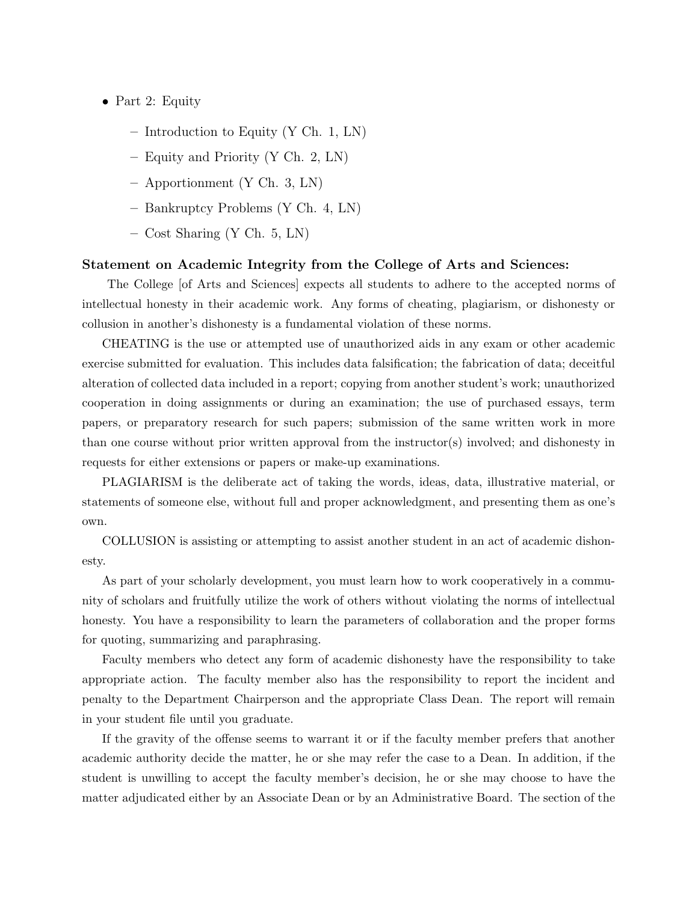- Part 2: Equity
	- Introduction to Equity (Y Ch. 1, LN)
	- Equity and Priority (Y Ch. 2, LN)
	- Apportionment (Y Ch. 3, LN)
	- Bankruptcy Problems (Y Ch. 4, LN)
	- Cost Sharing (Y Ch. 5, LN)

#### Statement on Academic Integrity from the College of Arts and Sciences:

The College [of Arts and Sciences] expects all students to adhere to the accepted norms of intellectual honesty in their academic work. Any forms of cheating, plagiarism, or dishonesty or collusion in another's dishonesty is a fundamental violation of these norms.

CHEATING is the use or attempted use of unauthorized aids in any exam or other academic exercise submitted for evaluation. This includes data falsification; the fabrication of data; deceitful alteration of collected data included in a report; copying from another student's work; unauthorized cooperation in doing assignments or during an examination; the use of purchased essays, term papers, or preparatory research for such papers; submission of the same written work in more than one course without prior written approval from the instructor(s) involved; and dishonesty in requests for either extensions or papers or make-up examinations.

PLAGIARISM is the deliberate act of taking the words, ideas, data, illustrative material, or statements of someone else, without full and proper acknowledgment, and presenting them as one's own.

COLLUSION is assisting or attempting to assist another student in an act of academic dishonesty.

As part of your scholarly development, you must learn how to work cooperatively in a community of scholars and fruitfully utilize the work of others without violating the norms of intellectual honesty. You have a responsibility to learn the parameters of collaboration and the proper forms for quoting, summarizing and paraphrasing.

Faculty members who detect any form of academic dishonesty have the responsibility to take appropriate action. The faculty member also has the responsibility to report the incident and penalty to the Department Chairperson and the appropriate Class Dean. The report will remain in your student file until you graduate.

If the gravity of the offense seems to warrant it or if the faculty member prefers that another academic authority decide the matter, he or she may refer the case to a Dean. In addition, if the student is unwilling to accept the faculty member's decision, he or she may choose to have the matter adjudicated either by an Associate Dean or by an Administrative Board. The section of the